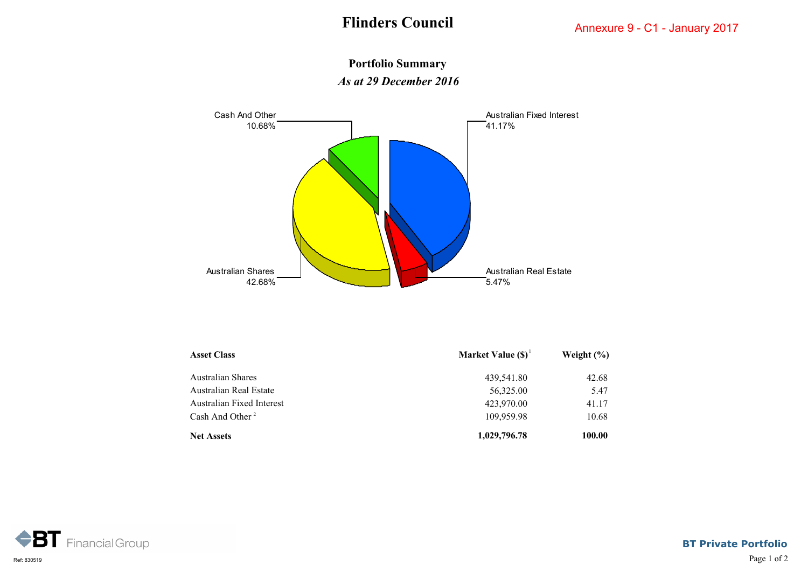## **Portfolio Summary** *As at 29 December 2016*



| <b>Asset Class</b>          | Market Value $(S)^1$ | Weight $(\% )$ |
|-----------------------------|----------------------|----------------|
| Australian Shares           | 439,541.80           | 42.68          |
| Australian Real Estate      | 56,325.00            | 5.47           |
| Australian Fixed Interest   | 423,970.00           | 41.17          |
| Cash And Other <sup>2</sup> | 109,959.98           | 10.68          |
| <b>Net Assets</b>           | 1,029,796.78         | 100.00         |



**BT Private Portfolio**